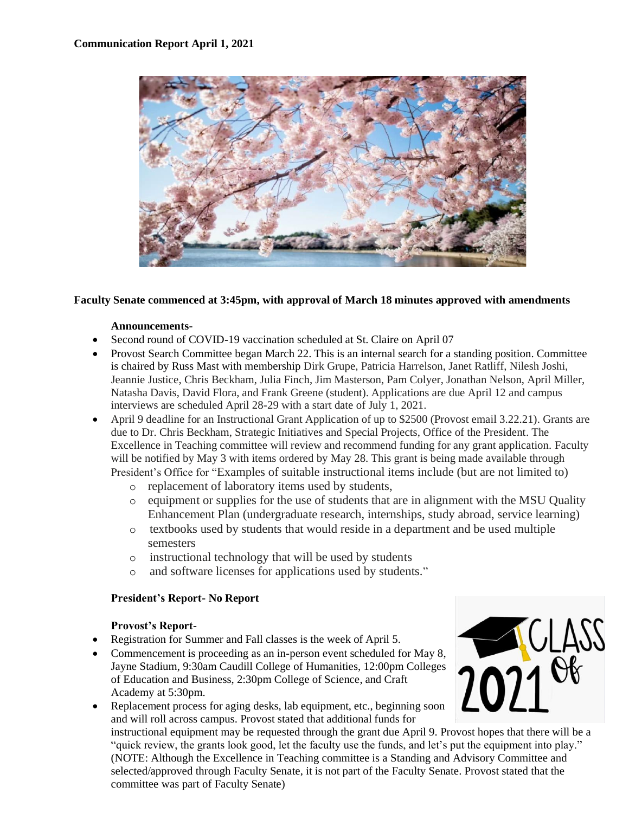

#### **Faculty Senate commenced at 3:45pm, with approval of March 18 minutes approved with amendments**

#### **Announcements-**

- Second round of COVID-19 vaccination scheduled at St. Claire on April 07
- Provost Search Committee began March 22. This is an internal search for a standing position. Committee is chaired by Russ Mast with membership Dirk Grupe, Patricia Harrelson, Janet Ratliff, Nilesh Joshi, Jeannie Justice, Chris Beckham, Julia Finch, Jim Masterson, Pam Colyer, Jonathan Nelson, April Miller, Natasha Davis, David Flora, and Frank Greene (student). Applications are due April 12 and campus interviews are scheduled April 28-29 with a start date of July 1, 2021.
- April 9 deadline for an Instructional Grant Application of up to \$2500 (Provost email 3.22.21). Grants are due to Dr. Chris Beckham, Strategic Initiatives and Special Projects, Office of the President. The Excellence in Teaching committee will review and recommend funding for any grant application. Faculty will be notified by May 3 with items ordered by May 28. This grant is being made available through President's Office for "Examples of suitable instructional items include (but are not limited to)
	- o replacement of laboratory items used by students,
	- o equipment or supplies for the use of students that are in alignment with the MSU Quality Enhancement Plan (undergraduate research, internships, study abroad, service learning)
	- o textbooks used by students that would reside in a department and be used multiple semesters
	- o instructional technology that will be used by students
	- o and software licenses for applications used by students."

#### **President's Report- No Report**

#### **Provost's Report-**

- Registration for Summer and Fall classes is the week of April 5.
- Commencement is proceeding as an in-person event scheduled for May 8, Jayne Stadium, 9:30am Caudill College of Humanities, 12:00pm Colleges of Education and Business, 2:30pm College of Science, and Craft Academy at 5:30pm.
- Replacement process for aging desks, lab equipment, etc., beginning soon and will roll across campus. Provost stated that additional funds for



instructional equipment may be requested through the grant due April 9. Provost hopes that there will be a "quick review, the grants look good, let the faculty use the funds, and let's put the equipment into play." (NOTE: Although the Excellence in Teaching committee is a Standing and Advisory Committee and selected/approved through Faculty Senate, it is not part of the Faculty Senate. Provost stated that the committee was part of Faculty Senate)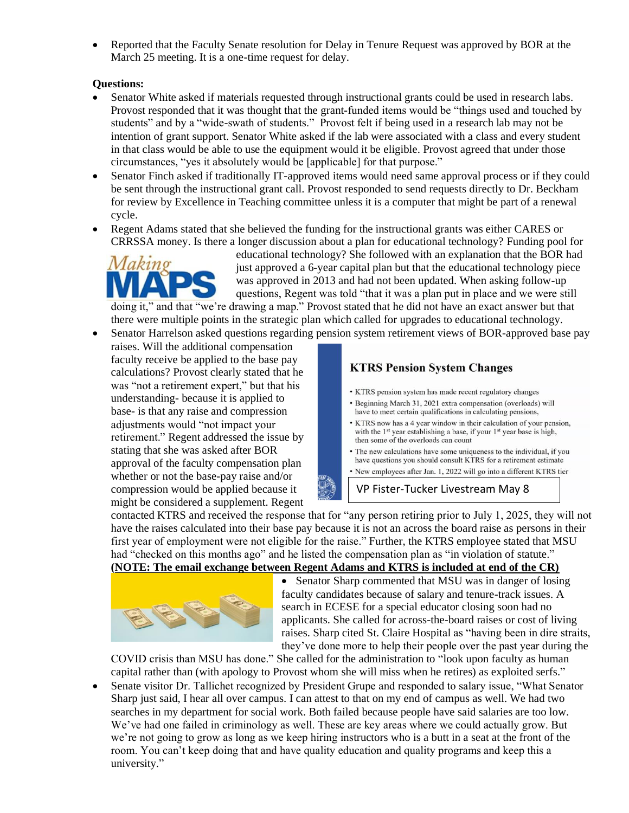• Reported that the Faculty Senate resolution for Delay in Tenure Request was approved by BOR at the March 25 meeting. It is a one-time request for delay.

#### **Questions:**

- Senator White asked if materials requested through instructional grants could be used in research labs. Provost responded that it was thought that the grant-funded items would be "things used and touched by students" and by a "wide-swath of students." Provost felt if being used in a research lab may not be intention of grant support. Senator White asked if the lab were associated with a class and every student in that class would be able to use the equipment would it be eligible. Provost agreed that under those circumstances, "yes it absolutely would be [applicable] for that purpose."
- Senator Finch asked if traditionally IT-approved items would need same approval process or if they could be sent through the instructional grant call. Provost responded to send requests directly to Dr. Beckham for review by Excellence in Teaching committee unless it is a computer that might be part of a renewal cycle.
- Regent Adams stated that she believed the funding for the instructional grants was either CARES or CRRSSA money. Is there a longer discussion about a plan for educational technology? Funding pool for



educational technology? She followed with an explanation that the BOR had just approved a 6-year capital plan but that the educational technology piece was approved in 2013 and had not been updated. When asking follow-up questions, Regent was told "that it was a plan put in place and we were still

doing it," and that "we're drawing a map." Provost stated that he did not have an exact answer but that there were multiple points in the strategic plan which called for upgrades to educational technology.

- Senator Harrelson asked questions regarding pension system retirement views of BOR-approved base pay
- raises. Will the additional compensation faculty receive be applied to the base pay calculations? Provost clearly stated that he was "not a retirement expert," but that his understanding- because it is applied to base- is that any raise and compression adjustments would "not impact your retirement." Regent addressed the issue by stating that she was asked after BOR approval of the faculty compensation plan whether or not the base-pay raise and/or compression would be applied because it might be considered a supplement. Regent

### **KTRS Pension System Changes**

- KTRS pension system has made recent regulatory changes
- Beginning March 31, 2021 extra compensation (overloads) will have to meet certain qualifications in calculating pensions,
- KTRS now has a 4 year window in their calculation of your pension, with the 1<sup>st</sup> year establishing a base, if your 1<sup>st</sup> year base is high, then some of the overloads can count
- The new calculations have some uniqueness to the individual, if you have questions you should consult KTRS for a retirement estimate
- · New employees after Jan. 1, 2022 will go into a different KTRS tier

VP Fister-Tucker Livestream May 8

contacted KTRS and received the response that for "any person retiring prior to July 1, 2025, they will not have the raises calculated into their base pay because it is not an across the board raise as persons in their first year of employment were not eligible for the raise." Further, the KTRS employee stated that MSU had "checked on this months ago" and he listed the compensation plan as "in violation of statute." **(NOTE: The email exchange between Regent Adams and KTRS is included at end of the CR)**



• Senator Sharp commented that MSU was in danger of losing faculty candidates because of salary and tenure-track issues. A search in ECESE for a special educator closing soon had no applicants. She called for across-the-board raises or cost of living raises. Sharp cited St. Claire Hospital as "having been in dire straits, they've done more to help their people over the past year during the

COVID crisis than MSU has done." She called for the administration to "look upon faculty as human capital rather than (with apology to Provost whom she will miss when he retires) as exploited serfs."

• Senate visitor Dr. Tallichet recognized by President Grupe and responded to salary issue, "What Senator Sharp just said, I hear all over campus. I can attest to that on my end of campus as well. We had two searches in my department for social work. Both failed because people have said salaries are too low. We've had one failed in criminology as well. These are key areas where we could actually grow. But we're not going to grow as long as we keep hiring instructors who is a butt in a seat at the front of the room. You can't keep doing that and have quality education and quality programs and keep this a university."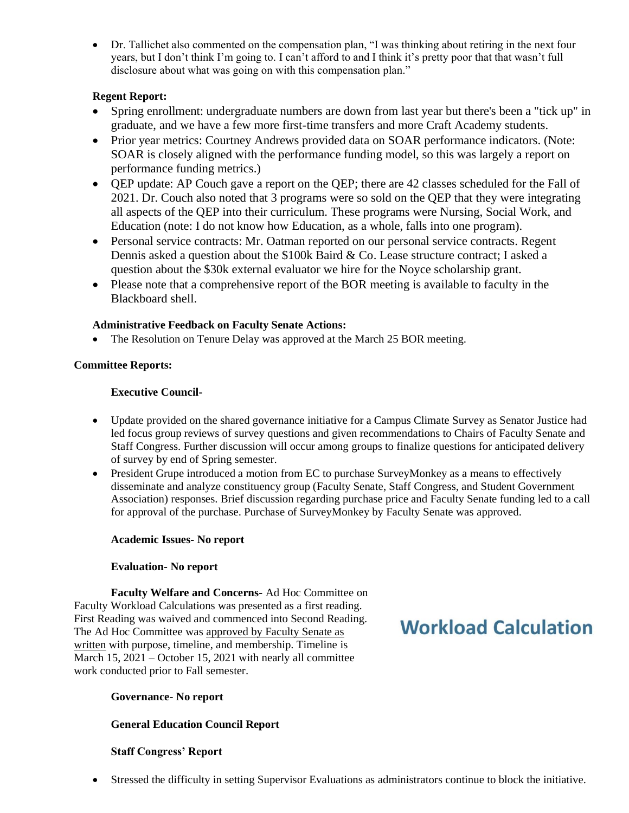• Dr. Tallichet also commented on the compensation plan, "I was thinking about retiring in the next four years, but I don't think I'm going to. I can't afford to and I think it's pretty poor that that wasn't full disclosure about what was going on with this compensation plan."

#### **Regent Report:**

- Spring enrollment: undergraduate numbers are down from last year but there's been a "tick up" in graduate, and we have a few more first-time transfers and more Craft Academy students.
- Prior year metrics: Courtney Andrews provided data on SOAR performance indicators. (Note: SOAR is closely aligned with the performance funding model, so this was largely a report on performance funding metrics.)
- QEP update: AP Couch gave a report on the QEP; there are 42 classes scheduled for the Fall of 2021. Dr. Couch also noted that 3 programs were so sold on the QEP that they were integrating all aspects of the QEP into their curriculum. These programs were Nursing, Social Work, and Education (note: I do not know how Education, as a whole, falls into one program).
- Personal service contracts: Mr. Oatman reported on our personal service contracts. Regent Dennis asked a question about the \$100k Baird & Co. Lease structure contract; I asked a question about the \$30k external evaluator we hire for the Noyce scholarship grant.
- Please note that a comprehensive report of the BOR meeting is available to faculty in the Blackboard shell.

#### **Administrative Feedback on Faculty Senate Actions:**

• The Resolution on Tenure Delay was approved at the March 25 BOR meeting.

#### **Committee Reports:**

#### **Executive Council-**

- Update provided on the shared governance initiative for a Campus Climate Survey as Senator Justice had led focus group reviews of survey questions and given recommendations to Chairs of Faculty Senate and Staff Congress. Further discussion will occur among groups to finalize questions for anticipated delivery of survey by end of Spring semester.
- President Grupe introduced a motion from EC to purchase SurveyMonkey as a means to effectively disseminate and analyze constituency group (Faculty Senate, Staff Congress, and Student Government Association) responses. Brief discussion regarding purchase price and Faculty Senate funding led to a call for approval of the purchase. Purchase of SurveyMonkey by Faculty Senate was approved.

#### **Academic Issues- No report**

#### **Evaluation- No report**

**Faculty Welfare and Concerns-** Ad Hoc Committee on Faculty Workload Calculations was presented as a first reading. First Reading was waived and commenced into Second Reading. The Ad Hoc Committee was approved by Faculty Senate as written with purpose, timeline, and membership. Timeline is March 15, 2021 – October 15, 2021 with nearly all committee work conducted prior to Fall semester.

# **Workload Calculation**

#### **Governance- No report**

#### **General Education Council Report**

#### **Staff Congress' Report**

• Stressed the difficulty in setting Supervisor Evaluations as administrators continue to block the initiative.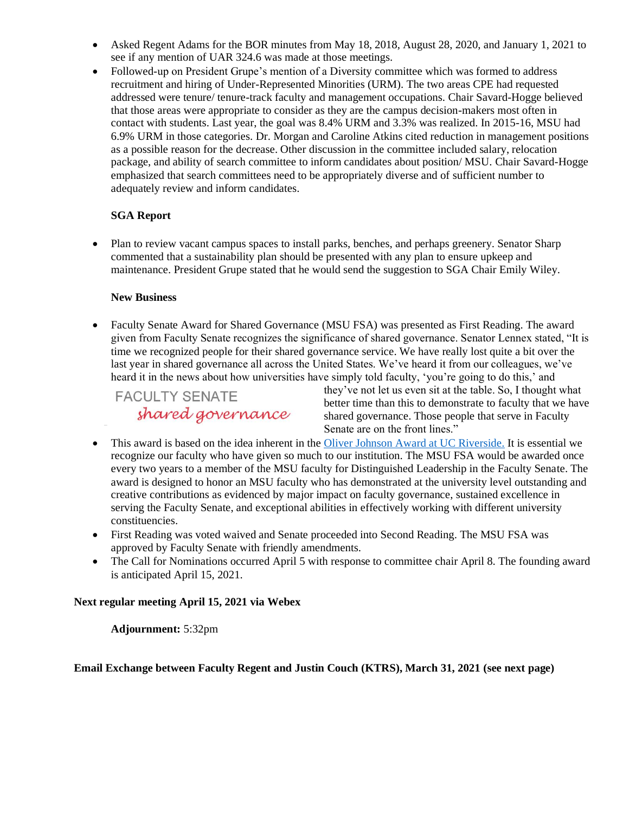- Asked Regent Adams for the BOR minutes from May 18, 2018, August 28, 2020, and January 1, 2021 to see if any mention of UAR 324.6 was made at those meetings.
- Followed-up on President Grupe's mention of a Diversity committee which was formed to address recruitment and hiring of Under-Represented Minorities (URM). The two areas CPE had requested addressed were tenure/ tenure-track faculty and management occupations. Chair Savard-Hogge believed that those areas were appropriate to consider as they are the campus decision-makers most often in contact with students. Last year, the goal was 8.4% URM and 3.3% was realized. In 2015-16, MSU had 6.9% URM in those categories. Dr. Morgan and Caroline Atkins cited reduction in management positions as a possible reason for the decrease. Other discussion in the committee included salary, relocation package, and ability of search committee to inform candidates about position/ MSU. Chair Savard-Hogge emphasized that search committees need to be appropriately diverse and of sufficient number to adequately review and inform candidates.

#### **SGA Report**

• Plan to review vacant campus spaces to install parks, benches, and perhaps greenery. Senator Sharp commented that a sustainability plan should be presented with any plan to ensure upkeep and maintenance. President Grupe stated that he would send the suggestion to SGA Chair Emily Wiley.

#### **New Business**

• Faculty Senate Award for Shared Governance (MSU FSA) was presented as First Reading. The award given from Faculty Senate recognizes the significance of shared governance. Senator Lennex stated, "It is time we recognized people for their shared governance service. We have really lost quite a bit over the last year in shared governance all across the United States. We've heard it from our colleagues, we've heard it in the news about how universities have simply told faculty, 'you're going to do this,' and

## **FACULTY SENATE** shared governance

they've not let us even sit at the table. So, I thought what better time than this to demonstrate to faculty that we have shared governance. Those people that serve in Faculty Senate are on the front lines."

- This award is based on the idea inherent in the [Oliver Johnson Award at UC Riverside.](https://senate.ucr.edu/awards/oja/19-20.%20OJA.%20CFN.%20Final.pdf) It is essential we recognize our faculty who have given so much to our institution. The MSU FSA would be awarded once every two years to a member of the MSU faculty for Distinguished Leadership in the Faculty Senate. The award is designed to honor an MSU faculty who has demonstrated at the university level outstanding and creative contributions as evidenced by major impact on faculty governance, sustained excellence in serving the Faculty Senate, and exceptional abilities in effectively working with different university constituencies.
- First Reading was voted waived and Senate proceeded into Second Reading. The MSU FSA was approved by Faculty Senate with friendly amendments.
- The Call for Nominations occurred April 5 with response to committee chair April 8. The founding award is anticipated April 15, 2021.

#### **Next regular meeting April 15, 2021 via Webex**

**Adjournment:** 5:32pm

**Email Exchange between Faculty Regent and Justin Couch (KTRS), March 31, 2021 (see next page)**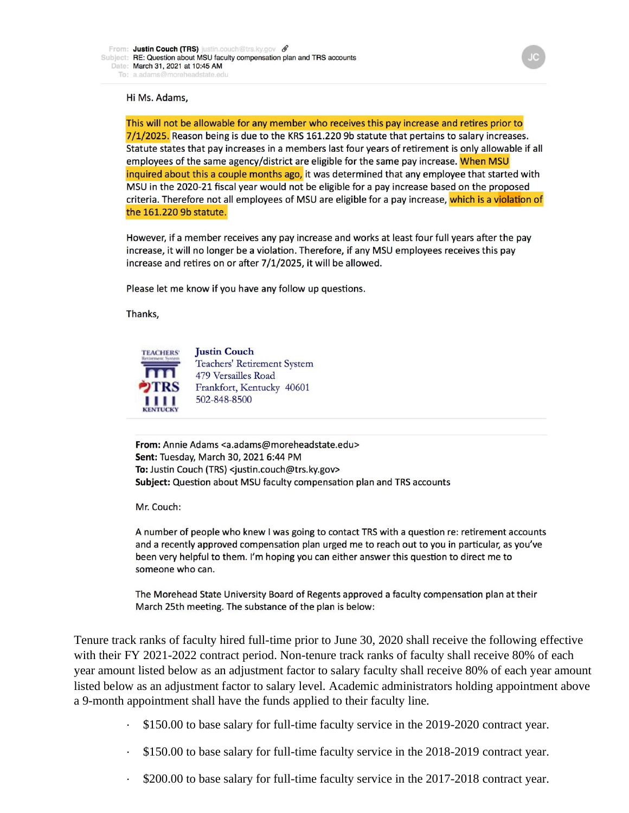#### Hi Ms. Adams,

This will not be allowable for any member who receives this pay increase and retires prior to 7/1/2025. Reason being is due to the KRS 161.220 9b statute that pertains to salary increases. Statute states that pay increases in a members last four years of retirement is only allowable if all employees of the same agency/district are eligible for the same pay increase. When MSU inquired about this a couple months ago, it was determined that any employee that started with MSU in the 2020-21 fiscal year would not be eligible for a pay increase based on the proposed criteria. Therefore not all employees of MSU are eligible for a pay increase, which is a violation of the 161.220 9b statute.

However, if a member receives any pay increase and works at least four full years after the pay increase, it will no longer be a violation. Therefore, if any MSU employees receives this pay increase and retires on or after 7/1/2025, it will be allowed.

Please let me know if you have any follow up questions.

Thanks,



**Justin Couch** Teachers' Retirement System 479 Versailles Road Frankfort, Kentucky 40601 502-848-8500

From: Annie Adams <a.adams@moreheadstate.edu> Sent: Tuesday, March 30, 2021 6:44 PM To: Justin Couch (TRS) <justin.couch@trs.ky.gov> Subject: Question about MSU faculty compensation plan and TRS accounts

Mr. Couch:

A number of people who knew I was going to contact TRS with a question re: retirement accounts and a recently approved compensation plan urged me to reach out to you in particular, as you've been very helpful to them. I'm hoping you can either answer this question to direct me to someone who can.

The Morehead State University Board of Regents approved a faculty compensation plan at their March 25th meeting. The substance of the plan is below:

Tenure track ranks of faculty hired full-time prior to June 30, 2020 shall receive the following effective with their FY 2021-2022 contract period. Non-tenure track ranks of faculty shall receive 80% of each year amount listed below as an adjustment factor to salary faculty shall receive 80% of each year amount listed below as an adjustment factor to salary level. Academic administrators holding appointment above a 9-month appointment shall have the funds applied to their faculty line.

- · \$150.00 to base salary for full-time faculty service in the 2019-2020 contract year.
- · \$150.00 to base salary for full-time faculty service in the 2018-2019 contract year.
- \$200.00 to base salary for full-time faculty service in the 2017-2018 contract year.